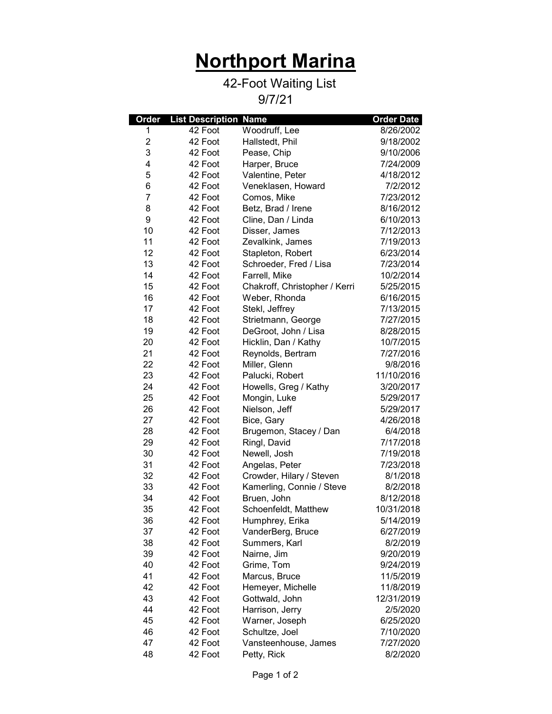## Northport Marina

## 42-Foot Waiting List

9/7/21

| Order                   | <b>List Description Name</b> |                               | <b>Order Date</b> |
|-------------------------|------------------------------|-------------------------------|-------------------|
| 1                       | 42 Foot                      | Woodruff, Lee                 | 8/26/2002         |
| $\overline{\mathbf{c}}$ | 42 Foot                      | Hallstedt, Phil               | 9/18/2002         |
| 3                       | 42 Foot                      | Pease, Chip                   | 9/10/2006         |
| 4                       | 42 Foot                      | Harper, Bruce                 | 7/24/2009         |
| 5                       | 42 Foot                      | Valentine, Peter              | 4/18/2012         |
| 6                       | 42 Foot                      | Veneklasen, Howard            | 7/2/2012          |
| 7                       | 42 Foot                      | Comos, Mike                   | 7/23/2012         |
| 8                       | 42 Foot                      | Betz, Brad / Irene            | 8/16/2012         |
| 9                       | 42 Foot                      | Cline, Dan / Linda            | 6/10/2013         |
| 10                      | 42 Foot                      | Disser, James                 | 7/12/2013         |
| 11                      | 42 Foot                      | Zevalkink, James              | 7/19/2013         |
| 12                      | 42 Foot                      | Stapleton, Robert             | 6/23/2014         |
| 13                      | 42 Foot                      | Schroeder, Fred / Lisa        | 7/23/2014         |
| 14                      | 42 Foot                      | Farrell, Mike                 | 10/2/2014         |
| 15                      | 42 Foot                      | Chakroff, Christopher / Kerri | 5/25/2015         |
| 16                      | 42 Foot                      | Weber, Rhonda                 | 6/16/2015         |
| 17                      | 42 Foot                      | Stekl, Jeffrey                | 7/13/2015         |
| 18                      | 42 Foot                      | Strietmann, George            | 7/27/2015         |
| 19                      | 42 Foot                      | DeGroot, John / Lisa          | 8/28/2015         |
| 20                      | 42 Foot                      | Hicklin, Dan / Kathy          | 10/7/2015         |
| 21                      | 42 Foot                      | Reynolds, Bertram             | 7/27/2016         |
| 22                      | 42 Foot                      | Miller, Glenn                 | 9/8/2016          |
| 23                      | 42 Foot                      | Palucki, Robert               | 11/10/2016        |
| 24                      | 42 Foot                      | Howells, Greg / Kathy         | 3/20/2017         |
| 25                      | 42 Foot                      | Mongin, Luke                  | 5/29/2017         |
| 26                      | 42 Foot                      | Nielson, Jeff                 | 5/29/2017         |
| 27                      | 42 Foot                      | Bice, Gary                    | 4/26/2018         |
| 28                      | 42 Foot                      | Brugemon, Stacey / Dan        | 6/4/2018          |
| 29                      | 42 Foot                      | Ringl, David                  | 7/17/2018         |
| 30                      | 42 Foot                      | Newell, Josh                  | 7/19/2018         |
| 31                      | 42 Foot                      | Angelas, Peter                | 7/23/2018         |
| 32                      | 42 Foot                      | Crowder, Hilary / Steven      | 8/1/2018          |
| 33                      | 42 Foot                      | Kamerling, Connie / Steve     | 8/2/2018          |
| 34                      | 42 Foot                      | Bruen, John                   | 8/12/2018         |
| 35                      | 42 Foot                      | Schoenfeldt, Matthew          | 10/31/2018        |
| 36                      | 42 Foot                      | Humphrey, Erika               | 5/14/2019         |
| 37                      | 42 Foot                      | VanderBerg, Bruce             | 6/27/2019         |
| 38                      | 42 Foot                      | Summers, Karl                 | 8/2/2019          |
| 39                      | 42 Foot                      | Nairne, Jim                   | 9/20/2019         |
| 40                      | 42 Foot                      | Grime, Tom                    | 9/24/2019         |
| 41                      | 42 Foot                      | Marcus, Bruce                 | 11/5/2019         |
| 42                      | 42 Foot                      | Hemeyer, Michelle             | 11/8/2019         |
| 43                      | 42 Foot                      | Gottwald, John                | 12/31/2019        |
| 44                      | 42 Foot                      | Harrison, Jerry               | 2/5/2020          |
| 45                      | 42 Foot                      | Warner, Joseph                | 6/25/2020         |
| 46                      | 42 Foot                      | Schultze, Joel                | 7/10/2020         |
| 47                      | 42 Foot                      | Vansteenhouse, James          | 7/27/2020         |
| 48                      | 42 Foot                      | Petty, Rick                   | 8/2/2020          |